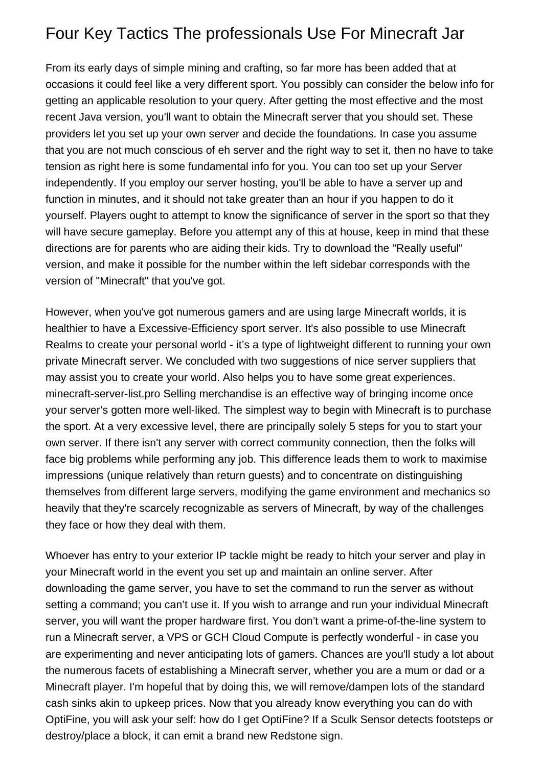## Four Key Tactics The professionals Use For Minecraft Jar

From its early days of simple mining and crafting, so far more has been added that at occasions it could feel like a very different sport. You possibly can consider the below info for getting an applicable resolution to your query. After getting the most effective and the most recent Java version, you'll want to obtain the Minecraft server that you should set. These providers let you set up your own server and decide the foundations. In case you assume that you are not much conscious of eh server and the right way to set it, then no have to take tension as right here is some fundamental info for you. You can too set up your Server independently. If you employ our server hosting, you'll be able to have a server up and function in minutes, and it should not take greater than an hour if you happen to do it yourself. Players ought to attempt to know the significance of server in the sport so that they will have secure gameplay. Before you attempt any of this at house, keep in mind that these directions are for parents who are aiding their kids. Try to download the "Really useful" version, and make it possible for the number within the left sidebar corresponds with the version of "Minecraft" that you've got.

However, when you've got numerous gamers and are using large Minecraft worlds, it is healthier to have a Excessive-Efficiency sport server. It's also possible to use Minecraft Realms to create your personal world - it's a type of lightweight different to running your own private Minecraft server. We concluded with two suggestions of nice server suppliers that may assist you to create your world. Also helps you to have some great experiences. [minecraft-server-list.pro](https://minecraft-server-list.pro/) Selling merchandise is an effective way of bringing income once your server's gotten more well-liked. The simplest way to begin with Minecraft is to purchase the sport. At a very excessive level, there are principally solely 5 steps for you to start your own server. If there isn't any server with correct community connection, then the folks will face big problems while performing any job. This difference leads them to work to maximise impressions (unique relatively than return guests) and to concentrate on distinguishing themselves from different large servers, modifying the game environment and mechanics so heavily that they're scarcely recognizable as servers of Minecraft, by way of the challenges they face or how they deal with them.

Whoever has entry to your exterior IP tackle might be ready to hitch your server and play in your Minecraft world in the event you set up and maintain an online server. After downloading the game server, you have to set the command to run the server as without setting a command; you can't use it. If you wish to arrange and run your individual Minecraft server, you will want the proper hardware first. You don't want a prime-of-the-line system to run a Minecraft server, a VPS or GCH Cloud Compute is perfectly wonderful - in case you are experimenting and never anticipating lots of gamers. Chances are you'll study a lot about the numerous facets of establishing a Minecraft server, whether you are a mum or dad or a Minecraft player. I'm hopeful that by doing this, we will remove/dampen lots of the standard cash sinks akin to upkeep prices. Now that you already know everything you can do with OptiFine, you will ask your self: how do I get OptiFine? If a Sculk Sensor detects footsteps or destroy/place a block, it can emit a brand new Redstone sign.